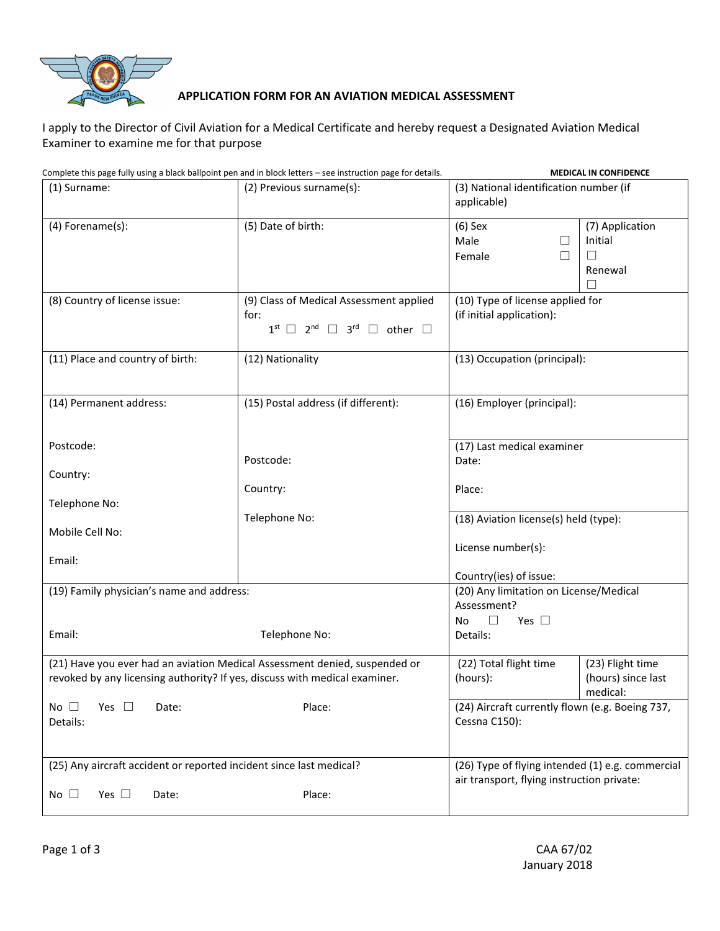

## **APPLICATION FORM FOR AN AVIATION MEDICAL ASSESSMENT**

I apply to the Director of Civil Aviation for a Medical Certificate and hereby request a Designated Aviation Medical Examiner to examine me for that purpose

| Complete this page fully using a black ballpoint pen and in block letters – see instruction page for details.                                            | <b>MEDICAL IN CONFIDENCE</b>                                                                                                         |                                                                                                                      |                                                    |  |  |  |
|----------------------------------------------------------------------------------------------------------------------------------------------------------|--------------------------------------------------------------------------------------------------------------------------------------|----------------------------------------------------------------------------------------------------------------------|----------------------------------------------------|--|--|--|
| (1) Surname:                                                                                                                                             | (2) Previous surname(s):                                                                                                             | (3) National identification number (if<br>applicable)                                                                |                                                    |  |  |  |
| (4) Forename(s):                                                                                                                                         | (5) Date of birth:                                                                                                                   | $(6)$ Sex<br>Male<br>⊔<br>Female<br>□                                                                                | (7) Application<br>Initial<br>$\Box$<br>Renewal    |  |  |  |
| (8) Country of license issue:                                                                                                                            | (9) Class of Medical Assessment applied<br>for:<br>$1^{\text{st}}$ $\Box$ $2^{\text{nd}}$ $\Box$ $3^{\text{rd}}$ $\Box$ other $\Box$ | (10) Type of license applied for<br>(if initial application):                                                        |                                                    |  |  |  |
| (11) Place and country of birth:                                                                                                                         | (12) Nationality                                                                                                                     | (13) Occupation (principal):                                                                                         |                                                    |  |  |  |
| (14) Permanent address:                                                                                                                                  | (15) Postal address (if different):                                                                                                  | (16) Employer (principal):                                                                                           |                                                    |  |  |  |
| Postcode:                                                                                                                                                | Postcode:                                                                                                                            | (17) Last medical examiner<br>Date:                                                                                  |                                                    |  |  |  |
| Country:                                                                                                                                                 | Country:                                                                                                                             | Place:                                                                                                               |                                                    |  |  |  |
| Telephone No:                                                                                                                                            | Telephone No:                                                                                                                        | (18) Aviation license(s) held (type):                                                                                |                                                    |  |  |  |
| Mobile Cell No:<br>Email:                                                                                                                                |                                                                                                                                      | License number(s):                                                                                                   |                                                    |  |  |  |
| (19) Family physician's name and address:                                                                                                                |                                                                                                                                      | Country(ies) of issue:<br>(20) Any limitation on License/Medical<br>Assessment?<br>$\Box$<br><b>No</b><br>Yes $\Box$ |                                                    |  |  |  |
| Email:<br>Telephone No:                                                                                                                                  |                                                                                                                                      | Details:                                                                                                             |                                                    |  |  |  |
| (21) Have you ever had an aviation Medical Assessment denied, suspended or<br>revoked by any licensing authority? If yes, discuss with medical examiner. |                                                                                                                                      | (22) Total flight time<br>(hours):                                                                                   | (23) Flight time<br>(hours) since last<br>medical: |  |  |  |
| Yes $\square$<br>Place:<br>No $\square$<br>Date:<br>Details:                                                                                             |                                                                                                                                      | (24) Aircraft currently flown (e.g. Boeing 737,<br>Cessna C150):                                                     |                                                    |  |  |  |
| (25) Any aircraft accident or reported incident since last medical?                                                                                      |                                                                                                                                      | (26) Type of flying intended (1) e.g. commercial<br>air transport, flying instruction private:                       |                                                    |  |  |  |
| Yes $\square$<br>No $\square$<br>Date:                                                                                                                   | Place:                                                                                                                               |                                                                                                                      |                                                    |  |  |  |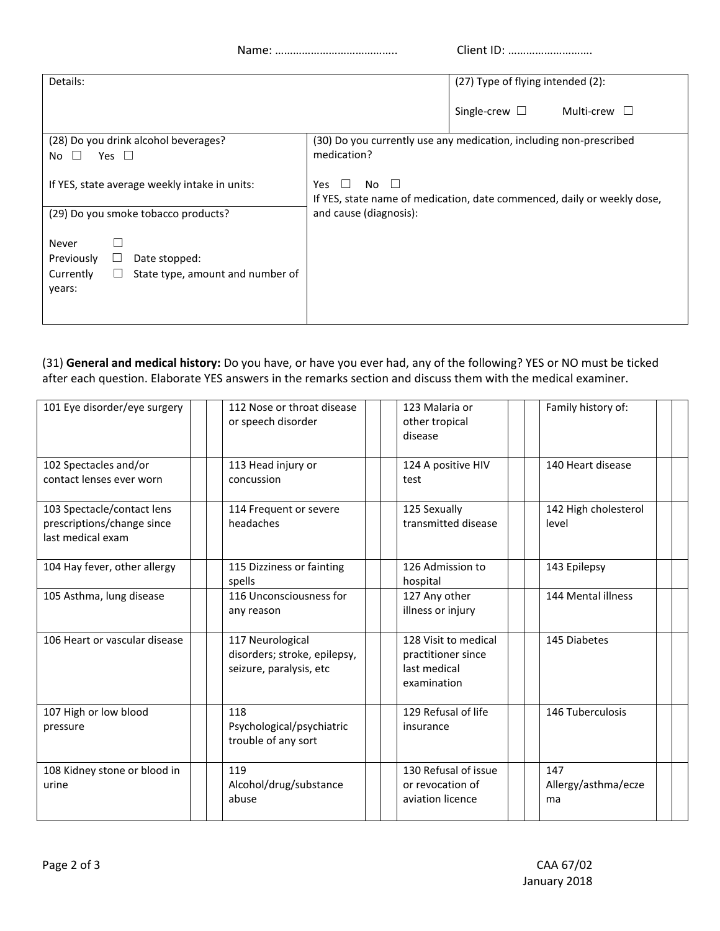Name: ………………………………….. Client ID: ……………………….

| Details:                                                               | (27) Type of flying intended (2):                                                                      |  |  |  |  |
|------------------------------------------------------------------------|--------------------------------------------------------------------------------------------------------|--|--|--|--|
|                                                                        | Single-crew $\square$<br>Multi-crew $\square$                                                          |  |  |  |  |
| (28) Do you drink alcohol beverages?<br>Yes $\square$<br>No<br>$\perp$ | (30) Do you currently use any medication, including non-prescribed<br>medication?                      |  |  |  |  |
| If YES, state average weekly intake in units:                          | No.<br>Yes.<br>$\mathsf{I}$<br>If YES, state name of medication, date commenced, daily or weekly dose, |  |  |  |  |
| (29) Do you smoke tobacco products?                                    | and cause (diagnosis):                                                                                 |  |  |  |  |
| Never<br>Previously<br>Date stopped:                                   |                                                                                                        |  |  |  |  |
| State type, amount and number of<br>Currently<br>⊔                     |                                                                                                        |  |  |  |  |
| years:                                                                 |                                                                                                        |  |  |  |  |
|                                                                        |                                                                                                        |  |  |  |  |

(31) **General and medical history:** Do you have, or have you ever had, any of the following? YES or NO must be ticked after each question. Elaborate YES answers in the remarks section and discuss them with the medical examiner.

| 101 Eye disorder/eye surgery                                                  | 112 Nose or throat disease<br>or speech disorder                            | 123 Malaria or<br>other tropical<br>disease                               | Family history of:               |
|-------------------------------------------------------------------------------|-----------------------------------------------------------------------------|---------------------------------------------------------------------------|----------------------------------|
| 102 Spectacles and/or<br>contact lenses ever worn                             | 113 Head injury or<br>concussion                                            | 124 A positive HIV<br>test                                                | 140 Heart disease                |
| 103 Spectacle/contact lens<br>prescriptions/change since<br>last medical exam | 114 Frequent or severe<br>headaches                                         | 125 Sexually<br>transmitted disease                                       | 142 High cholesterol<br>level    |
| 104 Hay fever, other allergy                                                  | 115 Dizziness or fainting<br>spells                                         | 126 Admission to<br>hospital                                              | 143 Epilepsy                     |
| 105 Asthma, lung disease                                                      | 116 Unconsciousness for<br>any reason                                       | 127 Any other<br>illness or injury                                        | 144 Mental illness               |
| 106 Heart or vascular disease                                                 | 117 Neurological<br>disorders; stroke, epilepsy,<br>seizure, paralysis, etc | 128 Visit to medical<br>practitioner since<br>last medical<br>examination | 145 Diabetes                     |
| 107 High or low blood<br>pressure                                             | 118<br>Psychological/psychiatric<br>trouble of any sort                     | 129 Refusal of life<br>insurance                                          | 146 Tuberculosis                 |
| 108 Kidney stone or blood in<br>urine                                         | 119<br>Alcohol/drug/substance<br>abuse                                      | 130 Refusal of issue<br>or revocation of<br>aviation licence              | 147<br>Allergy/asthma/ecze<br>ma |